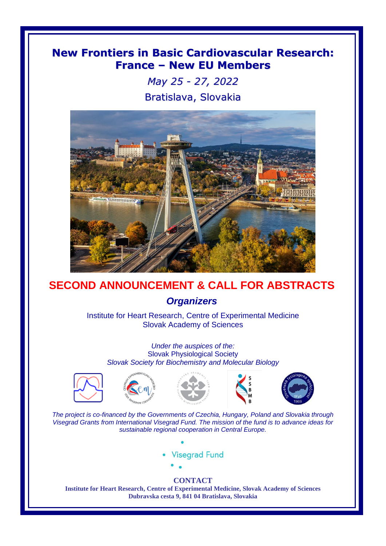# **New Frontiers in Basic Cardiovascular Research: France – New EU Members**

*May 25 - 27, 2022* Bratislava, Slovakia



# **SECOND ANNOUNCEMENT & CALL FOR ABSTRACTS** *Organizers*

Institute for Heart Research, Centre of Experimental Medicine Slovak Academy of Sciences

*Under the auspices of the:* Slovak Physiological Society *Slovak Society for Biochemistry and Molecular Biology*









*The project is co-financed by the Governments of Czechia, Hungary, Poland and Slovakia through Visegrad Grants from International Visegrad Fund. The mission of the fund is to advance ideas for sustainable regional cooperation in Central Europe.*





#### **CONTACT**

**Institute for Heart Research, Centre of Experimental Medicine, Slovak Academy of Sciences Dubravska cesta 9, 841 04 Bratislava, Slovakia**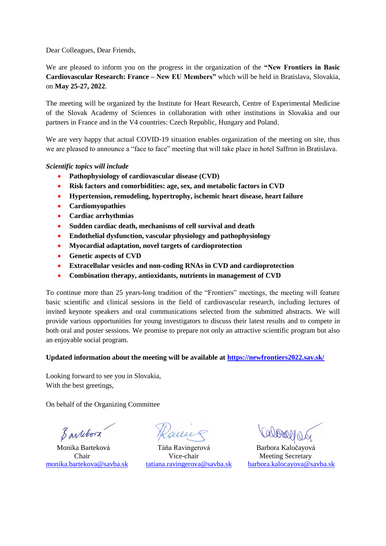Dear Colleagues, Dear Friends,

We are pleased to inform you on the progress in the organization of the **"New Frontiers in Basic Cardiovascular Research: France – New EU Members"** which will be held in Bratislava, Slovakia, on **May 25-27, 2022**.

The meeting will be organized by the Institute for Heart Research, Centre of Experimental Medicine of the Slovak Academy of Sciences in collaboration with other institutions in Slovakia and our partners in France and in the V4 countries: Czech Republic, Hungary and Poland.

We are very happy that actual COVID-19 situation enables organization of the meeting on site, thus we are pleased to announce a "face to face" meeting that will take place in hotel Saffron in Bratislava.

*Scientific topics will include*

- **Pathophysiology of cardiovascular disease (CVD)**
- **Risk factors and comorbidities: age, sex, and metabolic factors in CVD**
- **Hypertension, remodeling, hypertrophy, ischemic heart disease, heart failure**
- **Cardiomyopathies**
- **Cardiac arrhythmias**
- **Sudden cardiac death, mechanisms of cell survival and death**
- **Endothelial dysfunction, vascular physiology and pathophysiology**
- **Myocardial adaptation, novel targets of cardioprotection**
- **•** Genetic aspects of CVD
- **Extracellular vesicles and non-coding RNAs in CVD and cardioprotection**
- **Combination therapy, antioxidants, nutrients in management of CVD**

To continue more than 25 years-long tradition of the "Frontiers" meetings, the meeting will feature basic scientific and clinical sessions in the field of cardiovascular research, including lectures of invited keynote speakers and oral communications selected from the submitted abstracts. We will provide various opportunities for young investigators to discuss their latest results and to compete in both oral and poster sessions. We promise to prepare not only an attractive scientific program but also an enjoyable social program.

#### **Updated information about the meeting will be available at<https://newfrontiers2022.sav.sk/>**

Looking forward to see you in Slovakia, With the best greetings,

On behalf of the Organizing Committee

Barrebora

 Monika Barteková Táňa Ravingerová Barbora Kaločayová Chair Vice-chair Meeting Secretary

[monika.bartekova@savba.sk](mailto:monika.bartekova@savba.sk) [tatiana.ravingerova@savba.sk](mailto:tatiana.ravingerova@savba.sk) [barbora.kalocayova@savba.sk](mailto:barbora.kalocayova@savba.sk)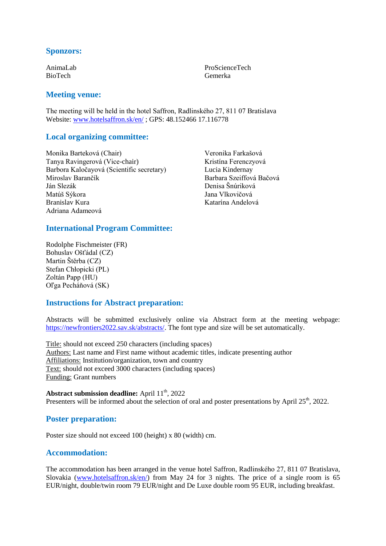# **Sponzors:**

AnimaLab BioTech

### **Meeting venue:**

The meeting will be held in the hotel Saffron, Radlinského 27, 811 07 Bratislava Website[: www.hotelsaffron.sk/en/](http://www.hotelsaffron.sk/en/) ; GPS: 48.152466 17.116778

#### **Local organizing committee:**

Monika Barteková (Chair) Tanya Ravingerová (Vice-chair) Barbora Kaločayová (Scientific secretary) Miroslav Barančík Ján Slezák Matúš Sýkora Branislav Kura Adriana Adameová

Veronika Farkašová Kristína Ferenczyová Lucia Kindernay Barbara Szeiffová Bačová Denisa Šnúriková Jana Vlkovičová Katarína Andelová

ProScienceTech Gemerka

## **International Program Committee:**

Rodolphe Fischmeister (FR) Bohuslav Ošťádal (CZ) Martin Štěrba (CZ) Stefan Chłopicki (PL) Zoltán Papp (HU) Oľga Pecháňová (SK)

# **Instructions for Abstract preparation:**

Abstracts will be submitted exclusively online via Abstract form at the meeting webpage: [https://newfrontiers2022.sav.sk/abstracts/.](https://newfrontiers2022.sav.sk/abstracts/) The font type and size will be set automatically.

Title: should not exceed 250 characters (including spaces) Authors: Last name and First name without academic titles, indicate presenting author Affiliations: Institution/organization, town and country Text: should not exceed 3000 characters (including spaces) Funding: Grant numbers

#### Abstract submission deadline: April 11<sup>th</sup>, 2022

Presenters will be informed about the selection of oral and poster presentations by April 25<sup>th</sup>, 2022.

# **Poster preparation:**

Poster size should not exceed 100 (height) x 80 (width) cm.

# **Accommodation:**

The accommodation has been arranged in the venue hotel Saffron, Radlinského 27, 811 07 Bratislava, Slovakia [\(www.hotelsaffron.sk/en/\)](http://www.hotelsaffron.sk/en/) from May 24 for 3 nights. The price of a single room is 65 EUR/night, double/twin room 79 EUR/night and De Luxe double room 95 EUR, including breakfast.